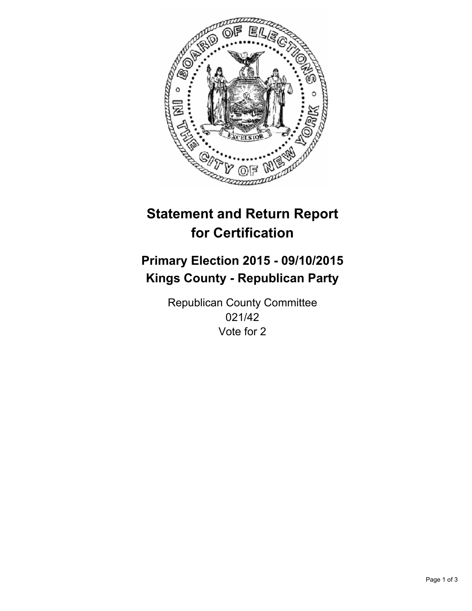

# **Statement and Return Report for Certification**

## **Primary Election 2015 - 09/10/2015 Kings County - Republican Party**

Republican County Committee 021/42 Vote for 2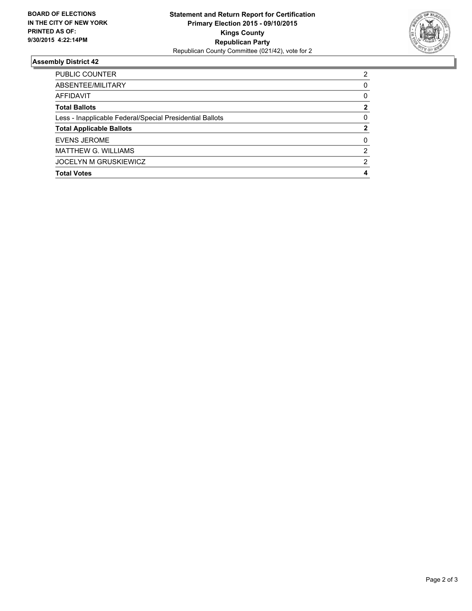

#### **Assembly District 42**

| PUBLIC COUNTER                                           | 2             |
|----------------------------------------------------------|---------------|
| ABSENTEE/MILITARY                                        | 0             |
| AFFIDAVIT                                                | 0             |
| <b>Total Ballots</b>                                     | $\mathbf{2}$  |
| Less - Inapplicable Federal/Special Presidential Ballots | $\Omega$      |
| <b>Total Applicable Ballots</b>                          | 2             |
| <b>EVENS JEROME</b>                                      | 0             |
| <b>MATTHEW G. WILLIAMS</b>                               | 2             |
| <b>JOCELYN M GRUSKIEWICZ</b>                             | $\mathcal{P}$ |
| <b>Total Votes</b>                                       | 4             |